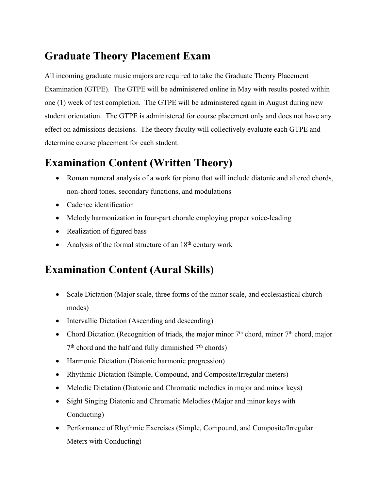### **Graduate Theory Placement Exam**

All incoming graduate music majors are required to take the Graduate Theory Placement Examination (GTPE). The GTPE will be administered online in May with results posted within one (1) week of test completion. The GTPE will be administered again in August during new student orientation. The GTPE is administered for course placement only and does not have any effect on admissions decisions. The theory faculty will collectively evaluate each GTPE and determine course placement for each student.

### **Examination Content (Written Theory)**

- Roman numeral analysis of a work for piano that will include diatonic and altered chords, non-chord tones, secondary functions, and modulations
- Cadence identification
- Melody harmonization in four-part chorale employing proper voice-leading
- Realization of figured bass
- Analysis of the formal structure of an  $18<sup>th</sup>$  century work

## **Examination Content (Aural Skills)**

- Scale Dictation (Major scale, three forms of the minor scale, and ecclesiastical church modes)
- Intervallic Dictation (Ascending and descending)
- Chord Dictation (Recognition of triads, the major minor  $7<sup>th</sup>$  chord, minor  $7<sup>th</sup>$  chord, major  $7<sup>th</sup>$  chord and the half and fully diminished  $7<sup>th</sup>$  chords)
- Harmonic Dictation (Diatonic harmonic progression)
- Rhythmic Dictation (Simple, Compound, and Composite/Irregular meters)
- Melodic Dictation (Diatonic and Chromatic melodies in major and minor keys)
- Sight Singing Diatonic and Chromatic Melodies (Major and minor keys with Conducting)
- Performance of Rhythmic Exercises (Simple, Compound, and Composite/Irregular Meters with Conducting)